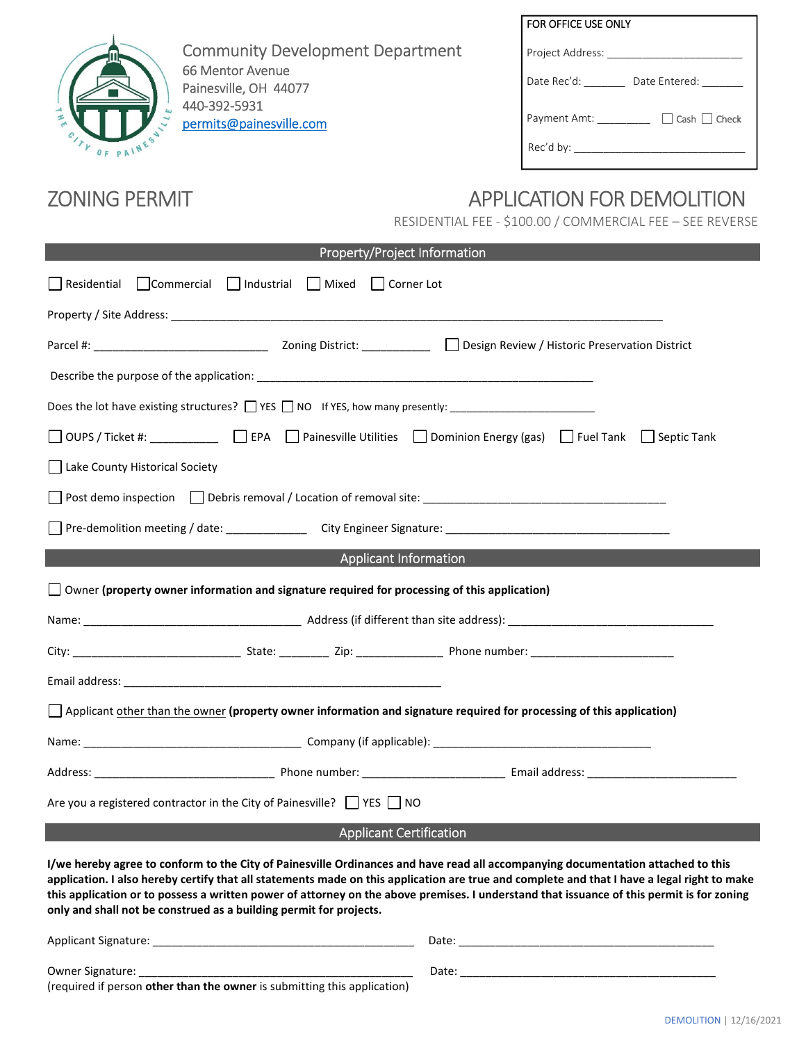

Community Development Department 66 Mentor Avenue Painesville, OH 44077 440-392-5931 permits@painesville.com

# FOR OFFICE USE ONLY Project Address: \_\_\_\_\_\_\_\_\_\_\_\_\_\_\_\_\_\_\_\_\_\_\_ Date Rec'd: \_\_\_\_\_\_\_\_ Date Entered: \_\_\_\_\_\_ Payment Amt: \_\_\_\_\_\_\_\_\_ □ Cash □ Check Rec'd by: \_\_\_\_\_\_\_\_\_\_\_\_\_\_\_\_\_\_\_\_\_\_\_\_\_\_\_\_\_

# ZONING PERMIT APPLICATION FOR DEMOLITION

RESIDENTIAL FEE - \$100.00 / COMMERCIAL FEE – SEE REVERSE

| Property/Project Information                                                                                                                                                                                                                                                                                                                                                                                                                                                                       |
|----------------------------------------------------------------------------------------------------------------------------------------------------------------------------------------------------------------------------------------------------------------------------------------------------------------------------------------------------------------------------------------------------------------------------------------------------------------------------------------------------|
| □ Commercial □ Industrial □ Mixed □ Corner Lot<br>Residential                                                                                                                                                                                                                                                                                                                                                                                                                                      |
|                                                                                                                                                                                                                                                                                                                                                                                                                                                                                                    |
|                                                                                                                                                                                                                                                                                                                                                                                                                                                                                                    |
|                                                                                                                                                                                                                                                                                                                                                                                                                                                                                                    |
|                                                                                                                                                                                                                                                                                                                                                                                                                                                                                                    |
| □ OUPS / Ticket #: ___________ □ EPA □ Painesville Utilities □ Dominion Energy (gas) □ Fuel Tank □ Septic Tank                                                                                                                                                                                                                                                                                                                                                                                     |
| Lake County Historical Society                                                                                                                                                                                                                                                                                                                                                                                                                                                                     |
|                                                                                                                                                                                                                                                                                                                                                                                                                                                                                                    |
|                                                                                                                                                                                                                                                                                                                                                                                                                                                                                                    |
| <b>Applicant Information</b><br><u> 1989 - Johann Barn, mars ann an t-Amhain an t-Amhain an t-Amhain an t-Amhain an t-Amhain an t-Amhain an t-Amh</u>                                                                                                                                                                                                                                                                                                                                              |
| $\Box$ Owner (property owner information and signature required for processing of this application)                                                                                                                                                                                                                                                                                                                                                                                                |
|                                                                                                                                                                                                                                                                                                                                                                                                                                                                                                    |
|                                                                                                                                                                                                                                                                                                                                                                                                                                                                                                    |
|                                                                                                                                                                                                                                                                                                                                                                                                                                                                                                    |
| $\Box$ Applicant other than the owner (property owner information and signature required for processing of this application)                                                                                                                                                                                                                                                                                                                                                                       |
|                                                                                                                                                                                                                                                                                                                                                                                                                                                                                                    |
|                                                                                                                                                                                                                                                                                                                                                                                                                                                                                                    |
| Are you a registered contractor in the City of Painesville? $\parallel$   YES     NO                                                                                                                                                                                                                                                                                                                                                                                                               |
| <b>Applicant Certification</b>                                                                                                                                                                                                                                                                                                                                                                                                                                                                     |
| I/we hereby agree to conform to the City of Painesville Ordinances and have read all accompanying documentation attached to this<br>application. I also hereby certify that all statements made on this application are true and complete and that I have a legal right to make<br>this application or to possess a written power of attorney on the above premises. I understand that issuance of this permit is for zoning<br>only and shall not be construed as a building permit for projects. |
|                                                                                                                                                                                                                                                                                                                                                                                                                                                                                                    |

Owner Signature: \_\_\_\_\_\_\_\_\_\_\_\_\_\_\_\_\_\_\_\_\_\_\_\_\_\_\_\_\_\_\_\_\_\_\_\_\_\_\_\_\_\_\_\_ Date: \_\_\_\_\_\_\_\_\_\_\_\_\_\_\_\_\_\_\_\_\_\_\_\_\_\_\_\_\_\_\_\_\_\_\_\_\_\_\_\_\_

(required if person **other than the owner** is submitting this application)